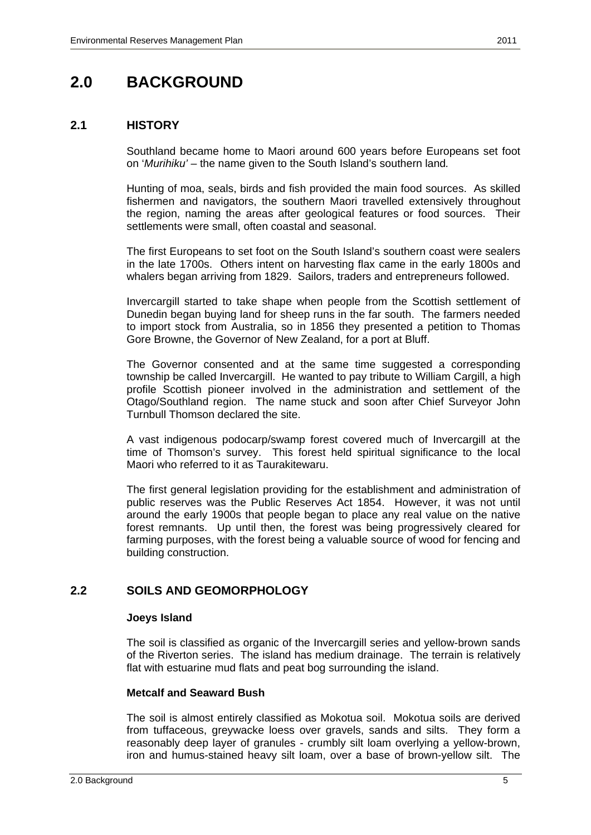# **2.0 BACKGROUND**

## **2.1 HISTORY**

 Southland became home to Maori around 600 years before Europeans set foot on '*Murihiku' –* the name given to the South Island's southern land*.* 

 Hunting of moa, seals, birds and fish provided the main food sources. As skilled fishermen and navigators, the southern Maori travelled extensively throughout the region, naming the areas after geological features or food sources. Their settlements were small, often coastal and seasonal.

 The first Europeans to set foot on the South Island's southern coast were sealers in the late 1700s. Others intent on harvesting flax came in the early 1800s and whalers began arriving from 1829. Sailors, traders and entrepreneurs followed.

 Invercargill started to take shape when people from the Scottish settlement of Dunedin began buying land for sheep runs in the far south. The farmers needed to import stock from Australia, so in 1856 they presented a petition to Thomas Gore Browne, the Governor of New Zealand, for a port at Bluff.

 The Governor consented and at the same time suggested a corresponding township be called Invercargill. He wanted to pay tribute to William Cargill, a high profile Scottish pioneer involved in the administration and settlement of the Otago/Southland region. The name stuck and soon after Chief Surveyor John Turnbull Thomson declared the site.

 A vast indigenous podocarp/swamp forest covered much of Invercargill at the time of Thomson's survey. This forest held spiritual significance to the local Maori who referred to it as Taurakitewaru.

 The first general legislation providing for the establishment and administration of public reserves was the Public Reserves Act 1854. However, it was not until around the early 1900s that people began to place any real value on the native forest remnants. Up until then, the forest was being progressively cleared for farming purposes, with the forest being a valuable source of wood for fencing and building construction.

# **2.2 SOILS AND GEOMORPHOLOGY**

#### **Joeys Island**

 The soil is classified as organic of the Invercargill series and yellow-brown sands of the Riverton series. The island has medium drainage. The terrain is relatively flat with estuarine mud flats and peat bog surrounding the island.

#### **Metcalf and Seaward Bush**

 The soil is almost entirely classified as Mokotua soil. Mokotua soils are derived from tuffaceous, greywacke loess over gravels, sands and silts. They form a reasonably deep layer of granules - crumbly silt loam overlying a yellow-brown, iron and humus-stained heavy silt loam, over a base of brown-yellow silt. The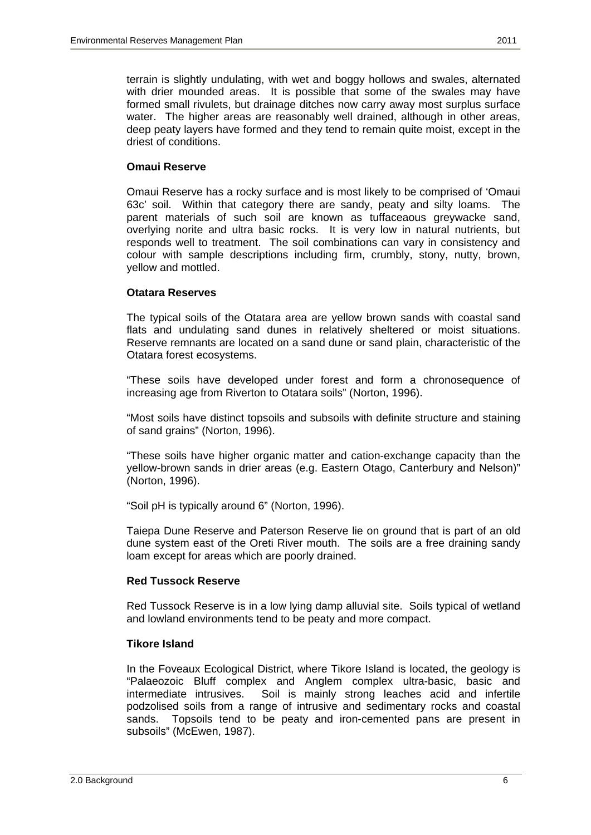terrain is slightly undulating, with wet and boggy hollows and swales, alternated with drier mounded areas. It is possible that some of the swales may have formed small rivulets, but drainage ditches now carry away most surplus surface water. The higher areas are reasonably well drained, although in other areas, deep peaty layers have formed and they tend to remain quite moist, except in the driest of conditions.

### **Omaui Reserve**

 Omaui Reserve has a rocky surface and is most likely to be comprised of 'Omaui 63c' soil. Within that category there are sandy, peaty and silty loams. The parent materials of such soil are known as tuffaceaous greywacke sand, overlying norite and ultra basic rocks. It is very low in natural nutrients, but responds well to treatment. The soil combinations can vary in consistency and colour with sample descriptions including firm, crumbly, stony, nutty, brown, yellow and mottled.

#### **Otatara Reserves**

 The typical soils of the Otatara area are yellow brown sands with coastal sand flats and undulating sand dunes in relatively sheltered or moist situations. Reserve remnants are located on a sand dune or sand plain, characteristic of the Otatara forest ecosystems.

 "These soils have developed under forest and form a chronosequence of increasing age from Riverton to Otatara soils" (Norton, 1996).

 "Most soils have distinct topsoils and subsoils with definite structure and staining of sand grains" (Norton, 1996).

 "These soils have higher organic matter and cation-exchange capacity than the yellow-brown sands in drier areas (e.g. Eastern Otago, Canterbury and Nelson)" (Norton, 1996).

"Soil pH is typically around 6" (Norton, 1996).

 Taiepa Dune Reserve and Paterson Reserve lie on ground that is part of an old dune system east of the Oreti River mouth. The soils are a free draining sandy loam except for areas which are poorly drained.

## **Red Tussock Reserve**

 Red Tussock Reserve is in a low lying damp alluvial site. Soils typical of wetland and lowland environments tend to be peaty and more compact.

#### **Tikore Island**

 In the Foveaux Ecological District, where Tikore Island is located, the geology is "Palaeozoic Bluff complex and Anglem complex ultra-basic, basic and intermediate intrusives. Soil is mainly strong leaches acid and infertile podzolised soils from a range of intrusive and sedimentary rocks and coastal sands. Topsoils tend to be peaty and iron-cemented pans are present in subsoils" (McEwen, 1987).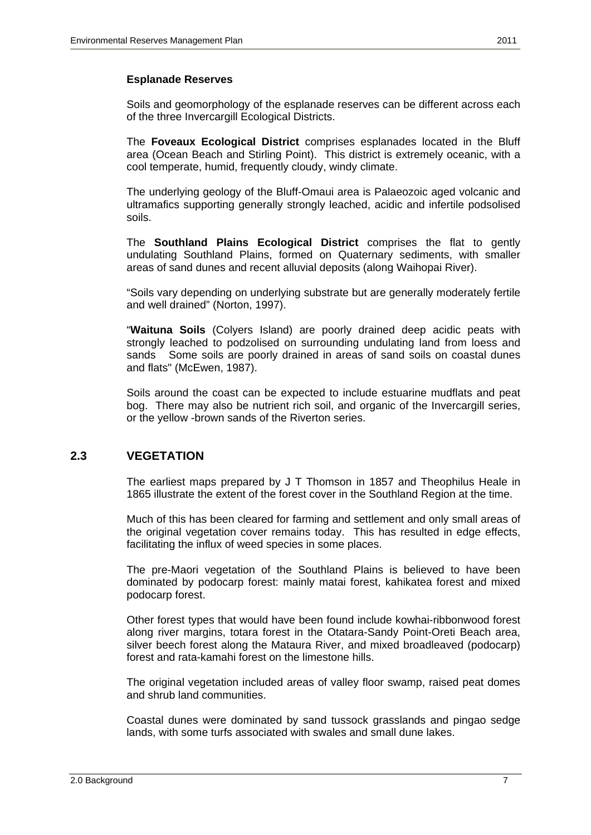## **Esplanade Reserves**

 Soils and geomorphology of the esplanade reserves can be different across each of the three Invercargill Ecological Districts.

 The **Foveaux Ecological District** comprises esplanades located in the Bluff area (Ocean Beach and Stirling Point). This district is extremely oceanic, with a cool temperate, humid, frequently cloudy, windy climate.

 The underlying geology of the Bluff-Omaui area is Palaeozoic aged volcanic and ultramafics supporting generally strongly leached, acidic and infertile podsolised soils.

 The **Southland Plains Ecological District** comprises the flat to gently undulating Southland Plains, formed on Quaternary sediments, with smaller areas of sand dunes and recent alluvial deposits (along Waihopai River).

 "Soils vary depending on underlying substrate but are generally moderately fertile and well drained" (Norton, 1997).

 "**Waituna Soils** (Colyers Island) are poorly drained deep acidic peats with strongly leached to podzolised on surrounding undulating land from loess and sands Some soils are poorly drained in areas of sand soils on coastal dunes and flats" (McEwen, 1987).

 Soils around the coast can be expected to include estuarine mudflats and peat bog. There may also be nutrient rich soil, and organic of the Invercargill series, or the yellow -brown sands of the Riverton series.

# **2.3 VEGETATION**

 The earliest maps prepared by J T Thomson in 1857 and Theophilus Heale in 1865 illustrate the extent of the forest cover in the Southland Region at the time.

 Much of this has been cleared for farming and settlement and only small areas of the original vegetation cover remains today. This has resulted in edge effects, facilitating the influx of weed species in some places.

 The pre-Maori vegetation of the Southland Plains is believed to have been dominated by podocarp forest: mainly matai forest, kahikatea forest and mixed podocarp forest.

 Other forest types that would have been found include kowhai-ribbonwood forest along river margins, totara forest in the Otatara-Sandy Point-Oreti Beach area, silver beech forest along the Mataura River, and mixed broadleaved (podocarp) forest and rata-kamahi forest on the limestone hills.

 The original vegetation included areas of valley floor swamp, raised peat domes and shrub land communities.

 Coastal dunes were dominated by sand tussock grasslands and pingao sedge lands, with some turfs associated with swales and small dune lakes.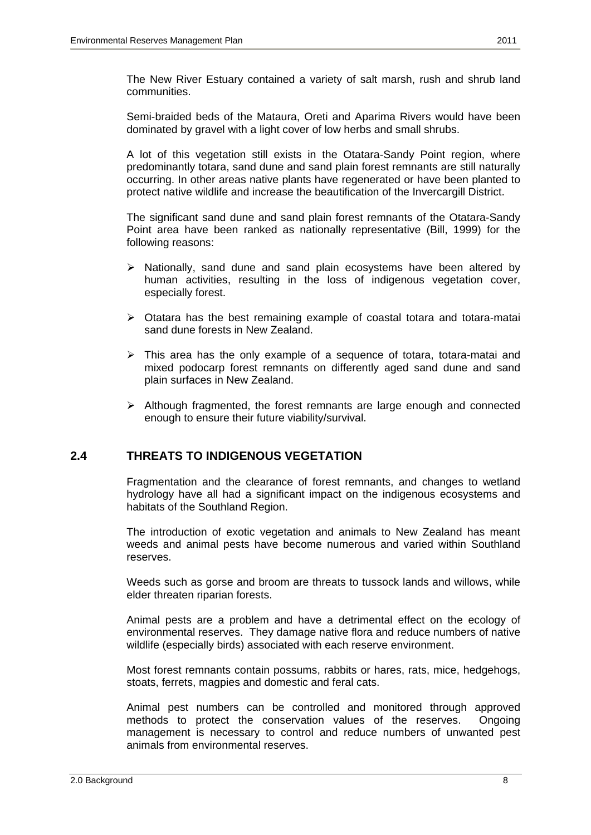The New River Estuary contained a variety of salt marsh, rush and shrub land communities.

 Semi-braided beds of the Mataura, Oreti and Aparima Rivers would have been dominated by gravel with a light cover of low herbs and small shrubs.

 A lot of this vegetation still exists in the Otatara-Sandy Point region, where predominantly totara, sand dune and sand plain forest remnants are still naturally occurring. In other areas native plants have regenerated or have been planted to protect native wildlife and increase the beautification of the Invercargill District.

 The significant sand dune and sand plain forest remnants of the Otatara-Sandy Point area have been ranked as nationally representative (Bill, 1999) for the following reasons:

- $\triangleright$  Nationally, sand dune and sand plain ecosystems have been altered by human activities, resulting in the loss of indigenous vegetation cover, especially forest.
- $\triangleright$  Otatara has the best remaining example of coastal totara and totara-matai sand dune forests in New Zealand.
- $\triangleright$  This area has the only example of a sequence of totara, totara-matai and mixed podocarp forest remnants on differently aged sand dune and sand plain surfaces in New Zealand.
- $\triangleright$  Although fragmented, the forest remnants are large enough and connected enough to ensure their future viability/survival.

## **2.4 THREATS TO INDIGENOUS VEGETATION**

 Fragmentation and the clearance of forest remnants, and changes to wetland hydrology have all had a significant impact on the indigenous ecosystems and habitats of the Southland Region.

 The introduction of exotic vegetation and animals to New Zealand has meant weeds and animal pests have become numerous and varied within Southland reserves.

 Weeds such as gorse and broom are threats to tussock lands and willows, while elder threaten riparian forests.

 Animal pests are a problem and have a detrimental effect on the ecology of environmental reserves. They damage native flora and reduce numbers of native wildlife (especially birds) associated with each reserve environment.

 Most forest remnants contain possums, rabbits or hares, rats, mice, hedgehogs, stoats, ferrets, magpies and domestic and feral cats.

 Animal pest numbers can be controlled and monitored through approved methods to protect the conservation values of the reserves. Ongoing management is necessary to control and reduce numbers of unwanted pest animals from environmental reserves.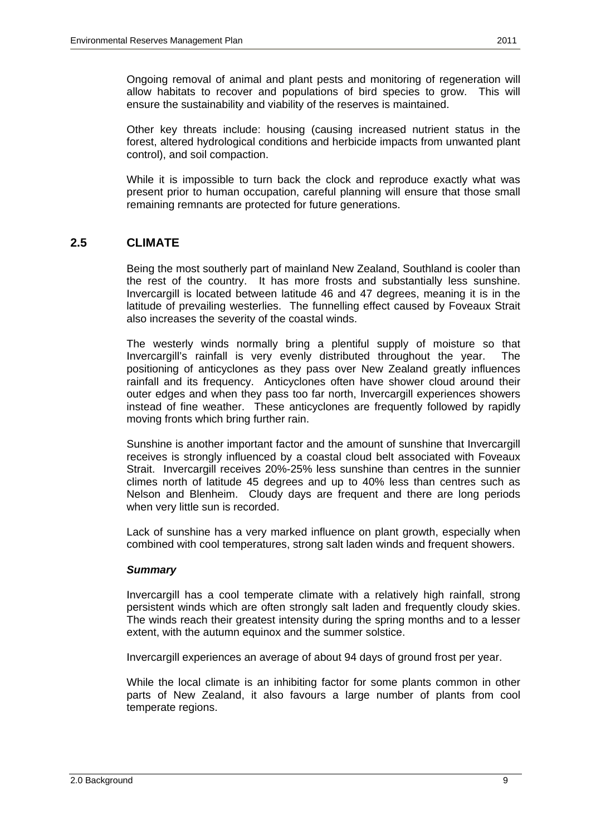Other key threats include: housing (causing increased nutrient status in the forest, altered hydrological conditions and herbicide impacts from unwanted plant control), and soil compaction.

 While it is impossible to turn back the clock and reproduce exactly what was present prior to human occupation, careful planning will ensure that those small remaining remnants are protected for future generations.

# **2.5 CLIMATE**

 Being the most southerly part of mainland New Zealand, Southland is cooler than the rest of the country. It has more frosts and substantially less sunshine. Invercargill is located between latitude 46 and 47 degrees, meaning it is in the latitude of prevailing westerlies. The funnelling effect caused by Foveaux Strait also increases the severity of the coastal winds.

 The westerly winds normally bring a plentiful supply of moisture so that Invercargill's rainfall is very evenly distributed throughout the year. The positioning of anticyclones as they pass over New Zealand greatly influences rainfall and its frequency. Anticyclones often have shower cloud around their outer edges and when they pass too far north, Invercargill experiences showers instead of fine weather. These anticyclones are frequently followed by rapidly moving fronts which bring further rain.

 Sunshine is another important factor and the amount of sunshine that Invercargill receives is strongly influenced by a coastal cloud belt associated with Foveaux Strait. Invercargill receives 20%-25% less sunshine than centres in the sunnier climes north of latitude 45 degrees and up to 40% less than centres such as Nelson and Blenheim. Cloudy days are frequent and there are long periods when very little sun is recorded.

 Lack of sunshine has a very marked influence on plant growth, especially when combined with cool temperatures, strong salt laden winds and frequent showers.

## *Summary*

 Invercargill has a cool temperate climate with a relatively high rainfall, strong persistent winds which are often strongly salt laden and frequently cloudy skies. The winds reach their greatest intensity during the spring months and to a lesser extent, with the autumn equinox and the summer solstice.

Invercargill experiences an average of about 94 days of ground frost per year.

 While the local climate is an inhibiting factor for some plants common in other parts of New Zealand, it also favours a large number of plants from cool temperate regions.